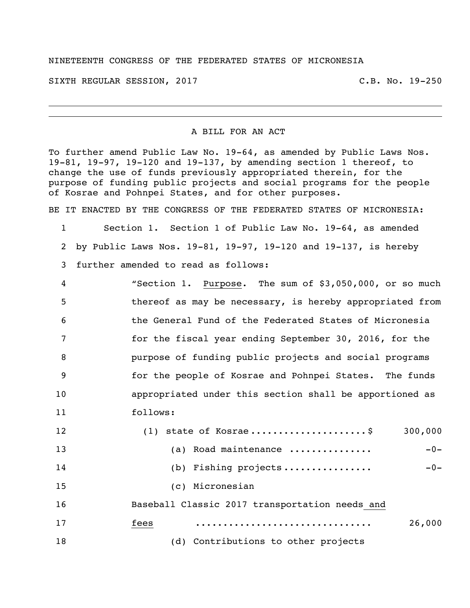## NINETEENTH CONGRESS OF THE FEDERATED STATES OF MICRONESIA

SIXTH REGULAR SESSION, 2017 C.B. No. 19-250

## A BILL FOR AN ACT

To further amend Public Law No. 19-64, as amended by Public Laws Nos. 19-81, 19-97, 19-120 and 19-137, by amending section 1 thereof, to change the use of funds previously appropriated therein, for the purpose of funding public projects and social programs for the people of Kosrae and Pohnpei States, and for other purposes.

BE IT ENACTED BY THE CONGRESS OF THE FEDERATED STATES OF MICRONESIA:

 Section 1. Section 1 of Public Law No. 19-64, as amended by Public Laws Nos. 19-81, 19-97, 19-120 and 19-137, is hereby further amended to read as follows:

| 4   | "Section 1. Purpose. The sum of \$3,050,000, or so much  |
|-----|----------------------------------------------------------|
| .5  | thereof as may be necessary, is hereby appropriated from |
| 6   | the General Fund of the Federated States of Micronesia   |
| 7   | for the fiscal year ending September 30, 2016, for the   |
| 8   | purpose of funding public projects and social programs   |
| - 9 | for the people of Kosrae and Pohnpei States. The funds   |
| 10  | appropriated under this section shall be apportioned as  |
| 11  | follows:                                                 |

| 12 | $(1)$ state of Kosrae\$                        | 300,000 |
|----|------------------------------------------------|---------|
| 13 | (a) Road maintenance                           | $-0-$   |
| 14 | (b) Fishing projects                           | $-0-$   |
| 15 | (c) Micronesian                                |         |
| 16 | Baseball Classic 2017 transportation needs and |         |
| 17 | fees                                           | 26,000  |
| 18 | (d) Contributions to other projects            |         |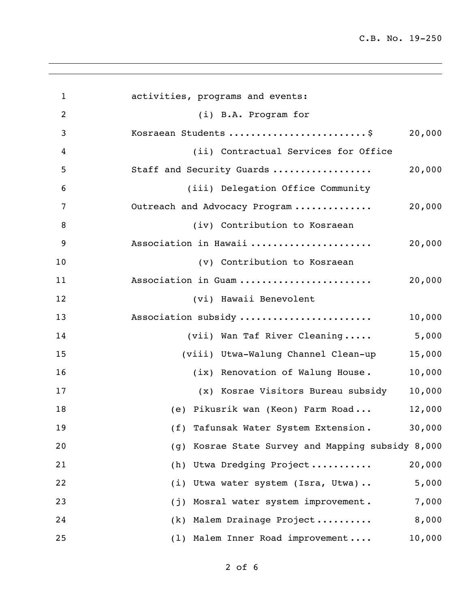C.B. No. 19-250

| $\mathbf{1}$   | activities, programs and events:                     |
|----------------|------------------------------------------------------|
| $\overline{2}$ | (i) B.A. Program for                                 |
| 3              | Kosraean Students \$<br>20,000                       |
| 4              | (ii) Contractual Services for Office                 |
| 5              | 20,000<br>Staff and Security Guards                  |
| 6              | (iii) Delegation Office Community                    |
| 7              | 20,000<br>Outreach and Advocacy Program              |
| 8              | (iv) Contribution to Kosraean                        |
| 9              | Association in Hawaii<br>20,000                      |
| 10             | (v) Contribution to Kosraean                         |
| 11             | Association in Guam<br>20,000                        |
| 12             | (vi) Hawaii Benevolent                               |
| 13             | Association subsidy<br>10,000                        |
| 14             | 5,000<br>(vii) Wan Taf River Cleaning                |
| 15             | (viii) Utwa-Walung Channel Clean-up<br>15,000        |
| 16             | 10,000<br>(ix) Renovation of Walung House.           |
| 17             | 10,000<br>(x) Kosrae Visitors Bureau subsidy         |
| 18             | (e) Pikusrik wan (Keon) Farm Road<br>12,000          |
| 19             | 30,000<br>(f) Tafunsak Water System Extension.       |
| 20             | Kosrae State Survey and Mapping subsidy 8,000<br>(q) |
| 21             | 20,000<br>Utwa Dredging Project<br>(h)               |
| 22             | 5,000<br>Utwa water system (Isra, Utwa)<br>(i)       |
| 23             | 7,000<br>Mosral water system improvement.<br>(i)     |
| 24             | 8,000<br>Malem Drainage Project<br>(k)               |
| 25             | 10,000<br>(1) Malem Inner Road improvement           |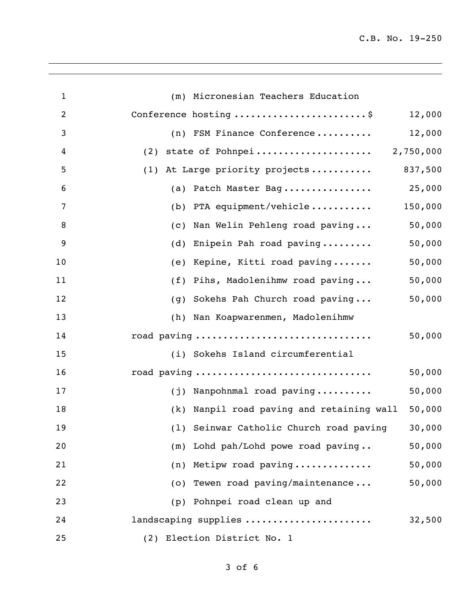C.B. No. 19-250

| $\mathbf{1}$   | (m) Micronesian Teachers Education        |         |
|----------------|-------------------------------------------|---------|
| $\overline{c}$ | Conference hosting \$                     | 12,000  |
| 3              | (n) FSM Finance Conference                | 12,000  |
| 4              | (2) state of Pohnpei 2,750,000            |         |
| 5              | (1) At Large priority projects            | 837,500 |
| 6              | (a) Patch Master Bag                      | 25,000  |
| 7              | (b) PTA equipment/vehicle                 | 150,000 |
| 8              | Nan Welin Pehleng road paving<br>(C)      | 50,000  |
| 9              | Enipein Pah road paving<br>(d)            | 50,000  |
| 10             | (e) Kepine, Kitti road paving             | 50,000  |
| 11             | (f) Pihs, Madolenihmw road paving         | 50,000  |
| 12             | Sokehs Pah Church road paving<br>(q)      | 50,000  |
| 13             | (h) Nan Koapwarenmen, Madolenihmw         |         |
| 14             | road paving                               | 50,000  |
| 15             | (i) Sokehs Island circumferential         |         |
| 16             | road paving                               | 50,000  |
| 17             | (j) Nanpohnmal road paving                | 50,000  |
| 18             | (k) Nanpil road paving and retaining wall | 50,000  |
| 19             | (1) Seinwar Catholic Church road paving   | 30,000  |
| 20             | (m) Lohd pah/Lohd powe road paving        | 50,000  |
| 21             | Metipw road paving<br>(n)                 | 50,000  |
| 22             | (o) Tewen road paving/maintenance         | 50,000  |
| 23             | Pohnpei road clean up and<br>(p)          |         |
| 24             | landscaping supplies                      | 32,500  |
| 25             | (2) Election District No. 1               |         |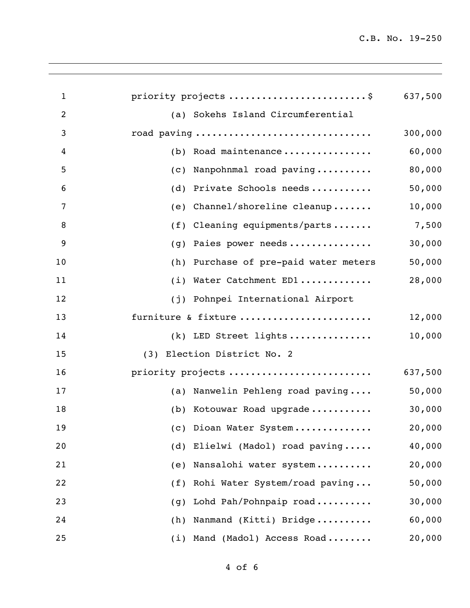C.B. No. 19-250

| $\mathbf{1}$   | priority projects \$                  | 637,500 |
|----------------|---------------------------------------|---------|
| $\overline{2}$ | (a) Sokehs Island Circumferential     |         |
| 3              | road paving                           | 300,000 |
| 4              | Road maintenance<br>(b)               | 60,000  |
| 5              | Nanpohnmal road paving<br>(C)         | 80,000  |
| 6              | Private Schools needs<br>(d)          | 50,000  |
| 7              | Channel/shoreline cleanup<br>(e)      | 10,000  |
| 8              | Cleaning equipments/parts<br>(f)      | 7,500   |
| 9              | Paies power needs<br>(q)              | 30,000  |
| 10             | (h) Purchase of pre-paid water meters | 50,000  |
| 11             | (i)<br>Water Catchment ED1            | 28,000  |
| 12             | (j) Pohnpei International Airport     |         |
| 13             | furniture & fixture                   | 12,000  |
| 14             | (k) LED Street lights                 | 10,000  |
| 15             | (3) Election District No. 2           |         |
| 16             | priority projects                     | 637,500 |
| 17             | (a) Nanwelin Pehleng road paving      | 50,000  |
| 18             | (b) Kotouwar Road upgrade             | 30,000  |
| 19             | (c) Dioan Water System                | 20,000  |
| 20             | Elielwi (Madol) road paving<br>(d)    | 40,000  |
| 21             | Nansalohi water system<br>(e)         | 20,000  |
| 22             | Rohi Water System/road paving<br>(f)  | 50,000  |
| 23             | Lohd Pah/Pohnpaip road<br>(g)         | 30,000  |
| 24             | Nanmand (Kitti) Bridge<br>(h)         | 60,000  |
| 25             | Mand (Madol) Access Road<br>(i)       | 20,000  |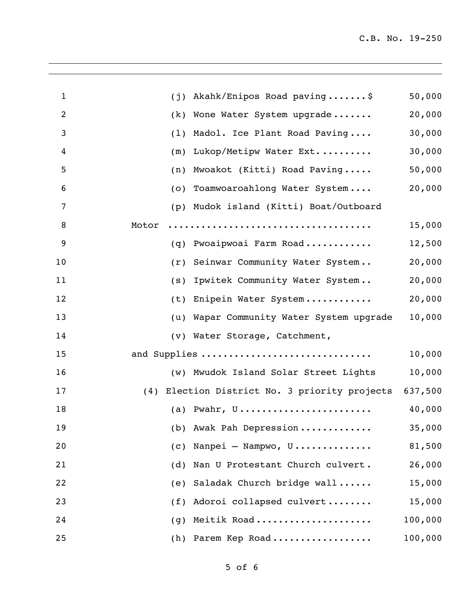| $\mathbf{1}$ | (j)                           | Akahk/Enipos Road paving\$                    | 50,000  |
|--------------|-------------------------------|-----------------------------------------------|---------|
| 2            | (k)                           | Wone Water System upgrade                     | 20,000  |
| 3            | (1)                           | Madol. Ice Plant Road Paving                  | 30,000  |
| 4            | (m)                           | Lukop/Metipw Water Ext                        | 30,000  |
| 5            | (n)                           | Mwoakot (Kitti) Road Paving                   | 50,000  |
| 6            | (0)                           | Toamwoaroahlong Water System                  | 20,000  |
| 7            | (p)                           | Mudok island (Kitti) Boat/Outboard            |         |
| 8            | Motor                         |                                               | 15,000  |
| 9            | (q)                           | Pwoaipwoai Farm Road                          | 12,500  |
| 10           | (r)                           | Seinwar Community Water System                | 20,000  |
| 11           | (s)                           | Ipwitek Community Water System                | 20,000  |
| 12           | (t)                           | Enipein Water System                          | 20,000  |
| 13           | (u)                           | Wapar Community Water System upgrade          | 10,000  |
| 14           | (v) Water Storage, Catchment, |                                               |         |
| 15           | and Supplies                  |                                               | 10,000  |
| 16           |                               | (w) Mwudok Island Solar Street Lights         | 10,000  |
| 17           |                               | (4) Election District No. 3 priority projects | 637,500 |
| 18           |                               | (a) Pwahr, $U$                                | 40,000  |
| 19           |                               | (b) Awak Pah Depression                       | 35,000  |
| 20           | (C)                           | Nanpei - Nampwo, U                            | 81,500  |
| 21           | (d)                           | Nan U Protestant Church culvert.              | 26,000  |
| 22           | (e)                           | Saladak Church bridge wall                    | 15,000  |
| 23           | (f)                           | Adoroi collapsed culvert                      | 15,000  |
| 24           | (g)                           | Meitik Road                                   | 100,000 |
| 25           | (h)                           | Parem Kep Road                                | 100,000 |